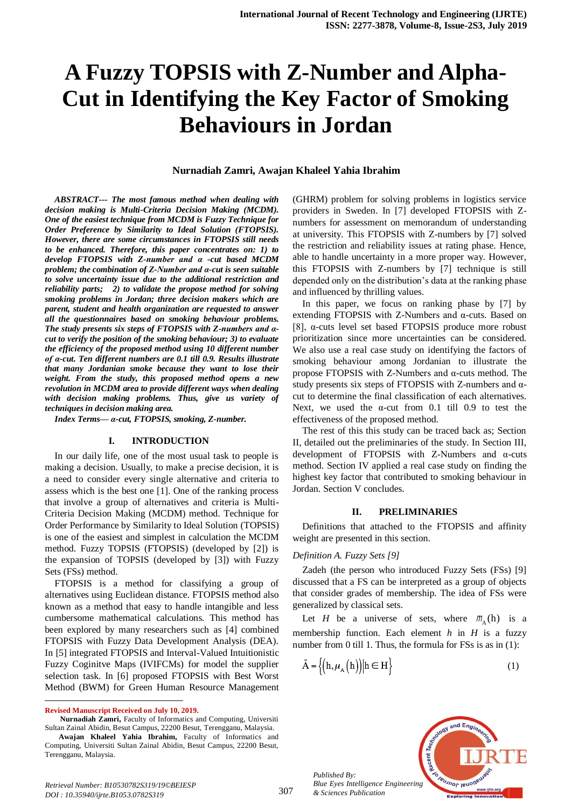# **A Fuzzy TOPSIS with Z-Number and Alpha-Cut in Identifying the Key Factor of Smoking Behaviours in Jordan**

#### **Nurnadiah Zamri, Awajan Khaleel Yahia Ibrahim**

*ABSTRACT--- The most famous method when dealing with decision making is Multi-Criteria Decision Making (MCDM). One of the easiest technique from MCDM is Fuzzy Technique for Order Preference by Similarity to Ideal Solution (FTOPSIS). However, there are some circumstances in FTOPSIS still needs to be enhanced. Therefore, this paper concentrates on: 1) to develop FTOPSIS with Z-number and α -cut based MCDM problem; the combination of Z-Number and α-cut is seen suitable to solve uncertainty issue due to the additional restriction and reliability parts; 2) to validate the propose method for solving smoking problems in Jordan; three decision makers which are parent, student and health organization are requested to answer all the questionnaires based on smoking behaviour problems. The study presents six steps of FTOPSIS with Z-numbers and αcut to verify the position of the smoking behaviour; 3) to evaluate the efficiency of the proposed method using 10 different number of α-cut. Ten different numbers are 0.1 till 0.9. Results illustrate that many Jordanian smoke because they want to lose their weight. From the study, this proposed method opens a new revolution in MCDM area to provide different ways when dealing with decision making problems. Thus, give us variety of techniques in decision making area.*

*Index Terms— α-cut, FTOPSIS, smoking, Z-number.*

#### **I. INTRODUCTION**

In our daily life, one of the most usual task to people is making a decision. Usually, to make a precise decision, it is a need to consider every single alternative and criteria to assess which is the best one [1]. One of the ranking process that involve a group of alternatives and criteria is Multi-Criteria Decision Making (MCDM) method. Technique for Order Performance by Similarity to Ideal Solution (TOPSIS) is one of the easiest and simplest in calculation the MCDM method. Fuzzy TOPSIS (FTOPSIS) (developed by [2]) is the expansion of TOPSIS (developed by [3]) with Fuzzy Sets (FSs) method.

FTOPSIS is a method for classifying a group of alternatives using Euclidean distance. FTOPSIS method also known as a method that easy to handle intangible and less cumbersome mathematical calculations. This method has been explored by many researchers such as [4] combined FTOPSIS with Fuzzy Data Development Analysis (DEA). In [5] integrated FTOPSIS and Interval-Valued Intuitionistic Fuzzy Coginitve Maps (IVIFCMs) for model the supplier selection task. In [6] proposed FTOPSIS with Best Worst Method (BWM) for Green Human Resource Management

 $\overline{a}$ 

 **Nurnadiah Zamri,** Faculty of Informatics and Computing, Universiti Sultan Zainal Abidin, Besut Campus, 22200 Besut, Terengganu, Malaysia.

(GHRM) problem for solving problems in logistics service providers in Sweden. In [7] developed FTOPSIS with Znumbers for assessment on memorandum of understanding at university. This FTOPSIS with Z-numbers by [7] solved the restriction and reliability issues at rating phase. Hence, able to handle uncertainty in a more proper way. However, this FTOPSIS with Z-numbers by [7] technique is still depended only on the distribution's data at the ranking phase and influenced by thrilling values.

In this paper, we focus on ranking phase by [7] by extending FTOPSIS with Z-Numbers and α-cuts. Based on [8], α-cuts level set based FTOPSIS produce more robust prioritization since more uncertainties can be considered. We also use a real case study on identifying the factors of smoking behaviour among Jordanian to illustrate the propose FTOPSIS with Z-Numbers and α-cuts method. The study presents six steps of FTOPSIS with Z-numbers and  $\alpha$ cut to determine the final classification of each alternatives. Next, we used the  $\alpha$ -cut from 0.1 till 0.9 to test the effectiveness of the proposed method.

The rest of this this study can be traced back as; Section II, detailed out the preliminaries of the study. In Section III, development of FTOPSIS with Z-Numbers and α-cuts method. Section IV applied a real case study on finding the highest key factor that contributed to smoking behaviour in Jordan. Section V concludes.

#### **II. PRELIMINARIES**

Definitions that attached to the FTOPSIS and affinity weight are presented in this section.

#### *Definition A. Fuzzy Sets [9]*

Zadeh (the person who introduced Fuzzy Sets (FSs) [9] discussed that a FS can be interpreted as a group of objects that consider grades of membership. The idea of FSs were generalized by classical sets.

Let *H* be a universe of sets, where  $m_A(h)$  is a membership function. Each element *h* in *H* is a fuzzy number from 0 till 1. Thus, the formula for FSs is as in (1):

$$
\tilde{A} = \left\{ \left( h, \mu_A \left( h \right) \right) \middle| h \in H \right\} \tag{1}
$$

*Published By: Blue Eyes Intelligence Engineering & Sciences Publication* 



**Revised Manuscript Received on July 10, 2019.**

**Awajan Khaleel Yahia Ibrahim,** Faculty of Informatics and Computing, Universiti Sultan Zainal Abidin, Besut Campus, 22200 Besut, Terengganu, Malaysia.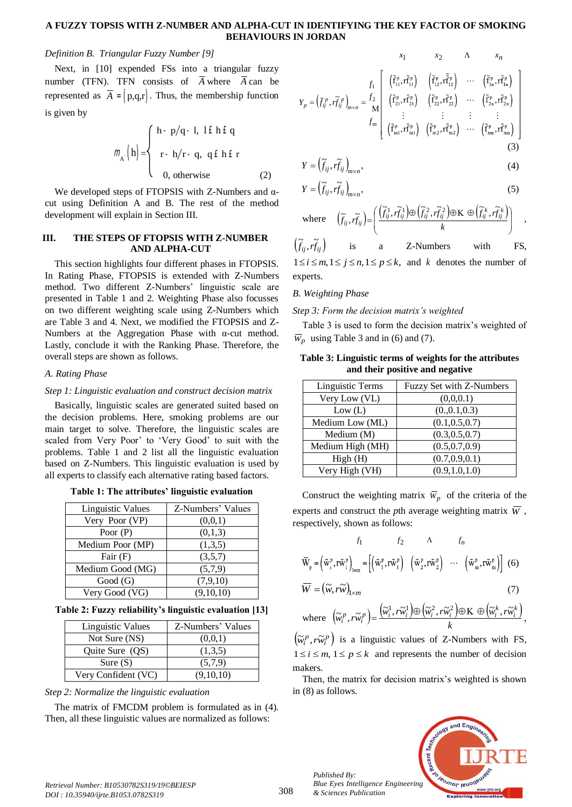# **A FUZZY TOPSIS WITH Z-NUMBER AND ALPHA-CUT IN IDENTIFYING THE KEY FACTOR OF SMOKING BEHAVIOURS IN JORDAN**

## *Definition B. Triangular Fuzzy Number [9]*

Next, in [10] expended FSs into a triangular fuzzy number (TFN). TFN consists of A where A can be represented as  $A = (p,q,r)$ . Thus, the membership function is given by

$$
m_{A} \left( h \right) = \begin{cases} h - p/q - 1, & \text{if } h \in q \\ r - h/r - q, & q \in h \in r \\ 0, & \text{otherwise} \end{cases}
$$
 (2)

We developed steps of FTOPSIS with Z-Numbers and αcut using Definition A and B. The rest of the method development will explain in Section III.

## **III. THE STEPS OF FTOPSIS WITH Z-NUMBER AND ALPHA-CUT**

This section highlights four different phases in FTOPSIS. In Rating Phase, FTOPSIS is extended with Z-Numbers method. Two different Z-Numbers' linguistic scale are presented in Table 1 and 2. Weighting Phase also focusses on two different weighting scale using Z-Numbers which are Table 3 and 4. Next, we modified the FTOPSIS and Z-Numbers at the Aggregation Phase with α-cut method. Lastly, conclude it with the Ranking Phase. Therefore, the overall steps are shown as follows.

## *A. Rating Phase*

## *Step 1: Linguistic evaluation and construct decision matrix*

Basically, linguistic scales are generated suited based on the decision problems. Here, smoking problems are our main target to solve. Therefore, the linguistic scales are scaled from Very Poor' to 'Very Good' to suit with the problems. Table 1 and 2 list all the linguistic evaluation based on Z-Numbers. This linguistic evaluation is used by all experts to classify each alternative rating based factors.

| Table 1: The attributes' linguistic evaluation |  |
|------------------------------------------------|--|
|------------------------------------------------|--|

| <b>Linguistic Values</b> | Z-Numbers' Values |
|--------------------------|-------------------|
| Very Poor (VP)           | (0,0,1)           |
| Poor $(P)$               | (0,1,3)           |
| Medium Poor (MP)         | (1,3,5)           |
| Fair $(F)$               | (3,5,7)           |
| Medium Good (MG)         | (5,7,9)           |
| Good(G)                  | (7,9,10)          |
| Very Good (VG)           | (9,10,10)         |

**Table 2: Fuzzy reliability's linguistic evaluation [13]**

| Linguistic Values   | Z-Numbers' Values |
|---------------------|-------------------|
| Not Sure (NS)       | (0,0,1)           |
| Quite Sure (QS)     | (1,3,5)           |
| Sure $(S)$          | (5,7,9)           |
| Very Confident (VC) | (9,10,10)         |

# *Step 2: Normalize the linguistic evaluation*

The matrix of FMCDM problem is formulated as in (4). Then, all these linguistic values are normalized as follows:

$$
Y_p = (\bar{f}_{ij}^p, \tilde{f}_{ij}^p)_{m \times n} = \frac{f_2}{M} \begin{bmatrix} (\tilde{f}_{11}^p, \tilde{r}_{11}^{\tilde{r}}) & (\tilde{f}_{12}^p, \tilde{r}_{12}^{\tilde{r}}) & \cdots & (\tilde{f}_{1n}^p, \tilde{r}_{1n}^{\tilde{r}}) \\ (\tilde{f}_{11}^p, \tilde{r}_{11}^{\tilde{r}}) & (\tilde{f}_{12}^p, \tilde{r}_{12}^{\tilde{r}}) & \cdots & (\tilde{f}_{1n}^p, \tilde{r}_{1n}^{\tilde{r}}) \\ (\tilde{f}_{21}^p, \tilde{r}_{21}^{\tilde{r}}) & (\tilde{f}_{22}^p, \tilde{r}_{22}^{\tilde{r}}) & \cdots & (\tilde{f}_{2n}^p, \tilde{r}_{2n}^{\tilde{r}}) \\ \vdots & \vdots & \vdots & \vdots \\ (\tilde{f}_{m1}^p, \tilde{r}_{m1}^{\tilde{r}}) & (\tilde{f}_{m2}^p, \tilde{r}_{m2}^{\tilde{r}}) & \cdots & (\tilde{f}_{mn}^p, \tilde{r}_{mn}^{\tilde{r}}) \end{bmatrix}
$$
\n(3)

$$
Y = \left(\widetilde{f}_{ij}, \widetilde{rf}_{ij}\right)_{m \times n},\tag{4}
$$

$$
Y = \left(\widetilde{f}_{ij}, \widetilde{rf}_{ij}\right)_{m \times n},\tag{5}
$$

where 
$$
(\tilde{f}_{ij}, \tilde{r}_{ij}) = \left(\frac{(\tilde{f}_{ij}^1, \tilde{r}_{ij}^1) \oplus (\tilde{f}_{ij}^2, \tilde{r}_{ij}^2) \oplus K \oplus (\tilde{f}_{ij}^k, \tilde{r}_{ij}^k)}{k}\right)
$$
,  
\n $(\tilde{f}_{ij}, \tilde{r}_{ij})$  is a Z-Numbers with FS,

 $1 \le i \le m, 1 \le j \le n, 1 \le p \le k$ , and k denotes the number of experts.

# *B. Weighting Phase*

#### *Step 3: Form the decision matrix's weighted*

Table 3 is used to form the decision matrix's weighted of  $\overline{W}_p$  using Table 3 and in (6) and (7).

## **Table 3: Linguistic terms of weights for the attributes and their positive and negative**

| Linguistic Terms | Fuzzy Set with Z-Numbers |
|------------------|--------------------------|
| Very Low (VL)    | (0,0,0.1)                |
| Low (L)          | (0.,0.1,0.3)             |
| Medium Low (ML)  | (0.1, 0.5, 0.7)          |
| Medium (M)       | (0.3, 0.5, 0.7)          |
| Medium High (MH) | (0.5, 0.7, 0.9)          |
| High(H)          | (0.7, 0.9, 0.1)          |
| Very High (VH)   | (0.9, 1.0, 1.0)          |

Construct the weighting matrix  $\overline{w}_p$  of the criteria of the experts and construct the *p*th average weighting matrix  $\overline{W}$ , respectively, shown as follows:

$$
f_1 \t f_2 \t \Lambda \t f_n
$$
  

$$
\bar{W}_p = \left(\tilde{w}_i^p, r\tilde{w}_i^p\right)_{l \times m} = \left[\left(\tilde{w}_1^p, r\tilde{w}_1^p\right) \left(\tilde{w}_2^p, r\tilde{w}_2^p\right) \cdots \left(\tilde{w}_m^p, r\tilde{w}_m^p\right)\right]
$$
 (6)  

$$
\overline{W} = \left(\tilde{w}, r\tilde{w}\right)_{l \times m} \t (7)
$$

where 
$$
(\widetilde{w}_i^p, r\widetilde{w}_i^p) = \frac{(\widetilde{w}_i^1, r\widetilde{w}_i^1) \oplus (\widetilde{w}_i^2, r\widetilde{w}_i^2) \oplus K \oplus (\widetilde{w}_i^k, r\widetilde{w}_i^k)}{k},
$$

 $(\widetilde{w}_i^p, r\widetilde{w}_i^p)$  is a linguistic values of Z-Numbers with FS,  $1 \le i \le m$ ,  $1 \le p \le k$  and represents the number of decision makers.

Then, the matrix for decision matrix's weighted is shown in (8) as follows.



*Retrieval Number: B10530782S319/19©BEIESP DOI : 10.35940/ijrte.B1053.0782S319*

*Published By:*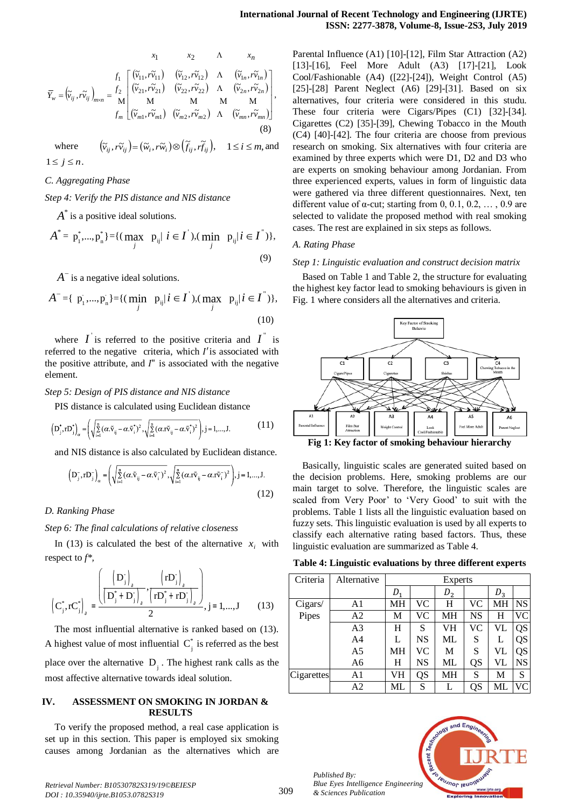$$
\bar{Y}_{w} = (\tilde{v}_{ij}, r\tilde{v}_{ij})_{m \times n} = \frac{f_1}{M} \begin{bmatrix} (\tilde{v}_{11}, r\tilde{v}_{11}) & (\tilde{v}_{12}, r\tilde{v}_{12}) & \Lambda & (\tilde{v}_{1n}, r\tilde{v}_{1n}) \\ (\tilde{v}_{21}, r\tilde{v}_{21}) & (\tilde{v}_{22}, r\tilde{v}_{22}) & \Lambda & (\tilde{v}_{2n}, r\tilde{v}_{2n}) \\ M & M & M & M \\ f_m & (\tilde{v}_{m1}, r\tilde{v}_{m1}) & (\tilde{v}_{m2}, r\tilde{v}_{m2}) & \Lambda & (\tilde{v}_{mn}, r\tilde{v}_{mn}) \end{bmatrix},
$$
\n(8)

where  $(\tilde{v}_{ij}, \tilde{r}_{ij}) = (\tilde{w}_i, \tilde{r}_{ij}) \otimes (\tilde{f}_{ij}, \tilde{r}_{ij}), \quad 1 \le i \le m$ , and  $1 \leq j \leq n$ .

## *C. Aggregating Phase*

*Step 4: Verify the PIS distance and NIS distance*

 $A^*$  is a positive ideal solutions.

$$
A^* = \mathbf{p}_1^*, \dots, \mathbf{p}_n^* \} = \{ (\max_j \mathbf{p}_{ij} | i \in I), (\min_j \mathbf{p}_{ij} | i \in I^*) \},\tag{9}
$$

*A*<sup>-</sup> is a negative ideal solutions.

$$
A^{-} = \{ p_{i}^{-},..., p_{n}^{-}\} = \{ (\min_{j} p_{ij} | i \in I), (\max_{j} p_{ij} | i \in I^{*}) \},
$$
\n(10)

where  $\boldsymbol{I}$  is referred to the positive criteria and  $\boldsymbol{I}$  is referred to the negative criteria, which  $I$ ' is associated with the positive attribute, and  $I^{\prime\prime}$  is associated with the negative element.

#### *Step 5: Design of PIS distance and NIS distance*

PIS distance is calculated using Euclidean distance

$$
\left(D_j^*, D_j^*\right)_{\alpha} = \left(\sqrt{\sum_{i=1}^n (\alpha \cdot \tilde{v}_{ij} - \alpha \cdot \tilde{v}_i^*)^2}, \sqrt{\sum_{i=1}^n (\alpha \cdot \tilde{v}_{ij} - \alpha \cdot \tilde{v}_i^*)^2}\right), j = 1,...,J.
$$
 (11)

and NIS distance is also calculated by Euclidean distance.

$$
\left(D_j^-, rD_j^-\right)_\alpha = \left(\sqrt{\sum_{i=1}^n (\alpha \cdot \tilde{v}_{ij} - \alpha \cdot \tilde{v}_i^-)^2}, \sqrt{\sum_{i=1}^n (\alpha \cdot r\tilde{v}_{ij} - \alpha \cdot r\tilde{v}_i^-)^2}\right), j = 1,...,J.
$$
\n(12)

*D. Ranking Phase*

*Step 6: The final calculations of relative closeness*

In (13) is calculated the best of the alternative  $x_i$  with respect to *f\*,*

$$
\left(C_j^*, rC_j^*\right)_a = \frac{\left(\left(D_j^-\right)_a, \left(rD_j^-\right)_a\right)}{2}, \frac{\left(rD_j^-\right)_a}{2}, j = 1, ..., J \tag{13}
$$

The most influential alternative is ranked based on (13). A highest value of most influential  $C_j^*$  is referred as the best place over the alternative  $D_j$ . The highest rank calls as the most affective alternative towards ideal solution.

## **IV. ASSESSMENT ON SMOKING IN JORDAN & RESULTS**

To verify the proposed method, a real case application is set up in this section. This paper is employed six smoking causes among Jordanian as the alternatives which are Parental Influence (A1) [10]-[12], Film Star Attraction (A2) [13]-[16], Feel More Adult (A3) [17]-[21], Look Cool/Fashionable (A4) ([22]-[24]), Weight Control (A5) [25]-[28] Parent Neglect (A6) [29]-[31]. Based on six alternatives, four criteria were considered in this studu. These four criteria were Cigars/Pipes (C1) [32]-[34]. Cigarettes (C2) [35]-[39], Chewing Tobacco in the Mouth (C4) [40]-[42]. The four criteria are choose from previous research on smoking. Six alternatives with four criteria are examined by three experts which were D1, D2 and D3 who are experts on smoking behaviour among Jordanian. From three experienced experts, values in form of linguistic data were gathered via three different questionnaires. Next, ten different value of  $\alpha$ -cut; starting from 0, 0.1, 0.2, ..., 0.9 are selected to validate the proposed method with real smoking cases. The rest are explained in six steps as follows.

#### *A. Rating Phase*

#### *Step 1: Linguistic evaluation and construct decision matrix*

Based on Table 1 and Table 2, the structure for evaluating the highest key factor lead to smoking behaviours is given in Fig. 1 where considers all the alternatives and criteria.



Basically, linguistic scales are generated suited based on the decision problems. Here, smoking problems are our main target to solve. Therefore, the linguistic scales are scaled from Very Poor' to 'Very Good' to suit with the problems. Table 1 lists all the linguistic evaluation based on fuzzy sets. This linguistic evaluation is used by all experts to classify each alternative rating based factors. Thus, these

**Table 4: Linguistic evaluations by three different experts**

linguistic evaluation are summarized as Table 4.

| Criteria   | Alternative    |    |           | <b>Experts</b> |           |       |           |
|------------|----------------|----|-----------|----------------|-----------|-------|-----------|
|            |                | D. |           | $D_2$          |           | $D_3$ |           |
| Cigars/    | A1             | MН | <b>VC</b> | Н              | VC        | МH    | <b>NS</b> |
| Pipes      | A2             | М  | VC        | MН             | <b>NS</b> | н     | VС        |
|            | A3             | H  | S         | VH             | VC        | VL    | QS        |
|            | A4             | L  | NS        | ML             | S         |       | QS        |
|            | A5             | MН | VC        | M              | S         | VL    | QS        |
|            | A <sub>6</sub> | Н  | NS        | ML             | QS        | VL    | NS        |
| Cigarettes | A1             | VH | QS        | MН             | S         | М     | S         |
|            | A2             | ML | S         |                | QS        | ML    | VС        |



*Published By: Blue Eyes Intelligence Engineering & Sciences Publication*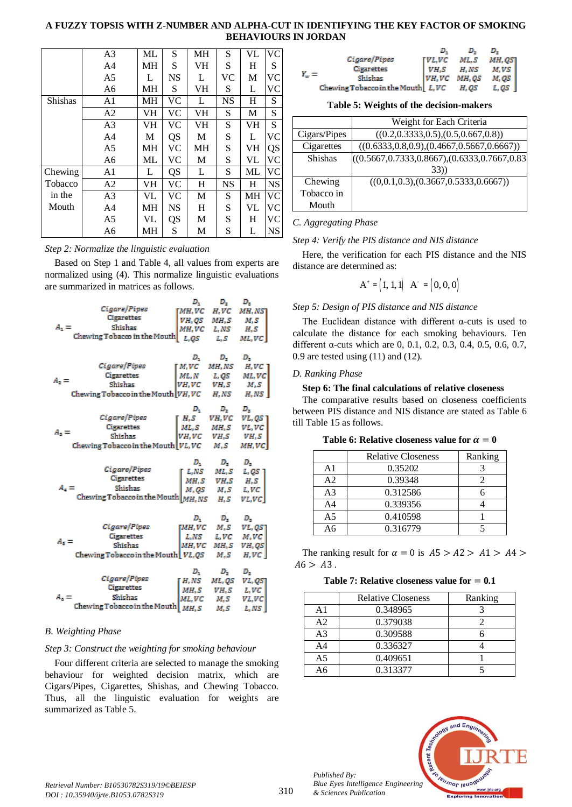# **A FUZZY TOPSIS WITH Z-NUMBER AND ALPHA-CUT IN IDENTIFYING THE KEY FACTOR OF SMOKING BEHAVIOURS IN JORDAN**

 $Y_{\rm w}$ 

|         | A <sub>3</sub> | ML | S         | MH | S         | VL | <b>VC</b> |
|---------|----------------|----|-----------|----|-----------|----|-----------|
|         | A <sub>4</sub> | MН | S         | VH | S         | H  | S         |
|         | A5             | L  | <b>NS</b> | L  | VС        | М  | <b>VC</b> |
|         | A <sub>6</sub> | MH | S         | VH | S         | L  | VC        |
| Shishas | A1             | MН | VC        | L  | <b>NS</b> | H  | S         |
|         | A2             | VH | VC        | VH | S         | М  | S         |
|         | A <sub>3</sub> | VH | VC        | VH | S         | VH | S         |
|         | A4             | М  | <b>QS</b> | М  | S         | L  | <b>VC</b> |
|         | A <sub>5</sub> | MН | VC        | MН | S         | VH | QS        |
|         | A6             | ML | VC        | М  | S         | VL | <b>VC</b> |
| Chewing | A1             | L  | <b>QS</b> | L  | S         | ML | <b>VC</b> |
| Tobacco | A <sub>2</sub> | VH | VC        | H  | <b>NS</b> | H  | <b>NS</b> |
| in the  | A3             | VL | VС        | М  | S         | MН | <b>VC</b> |
| Mouth   | A4             | MН | <b>NS</b> | H  | S         | VL | <b>VC</b> |
|         | A5             | VL | QS        | М  | S         | H  | VC.       |
|         | A6             | MН | S         | М  | S         | L  | <b>NS</b> |

## *Step 2: Normalize the linguistic evaluation*

Based on Step 1 and Table 4, all values from experts are normalized using (4). This normalize linguistic evaluations are summarized in matrices as follows.

|                                                           | D,                | $D_{\tau}$                | D,             |  |
|-----------------------------------------------------------|-------------------|---------------------------|----------------|--|
| <i>Cigare/Pipes</i>                                       | [MH,VC H,VC       |                           | MH, NST        |  |
| Cigarettes                                                |                   | <i>VH, QS MH, S M, S</i>  |                |  |
| Shishas<br>$A_1 =$                                        |                   | <i>MH,VC L,NS H,S</i>     |                |  |
| Chewing Tobacco in the Mouth                              |                   | $L,QS$ $L,S$              | ML,VC          |  |
|                                                           |                   |                           |                |  |
|                                                           | D,                | $D_{\mathbf{z}}$          | $D_x$          |  |
| Cigare/Pipes                                              | [M,VC MH,NS       |                           | H,VC           |  |
| Cigarettes                                                |                   | $ML, N$ $L, QS$           | ML,VC          |  |
| $A_2 =$<br>Shishas                                        | <i>VH,VC VH,S</i> |                           | M, S           |  |
| Chewing Tobacco in the Mouth <i>VH, VC H, NS</i>          |                   |                           | H,NS \         |  |
|                                                           |                   |                           |                |  |
|                                                           | $D_1$             | $D_{\rm z}$               | D <sub>1</sub> |  |
| <i>Cigare/Pipes</i>                                       | ГН. S             | VH, VC                    | VL, QS 1       |  |
| Cigarettes<br>$A_{\rm z} =$                               |                   | $ML, S$ $MH, S$ $VL, VC$  |                |  |
| Shishas                                                   | <i>VH,VC VH,S</i> |                           | VH, S          |  |
| Chewing Tobacco in the Mouth $ VL, VC$ $M, S$             |                   |                           | MH,VC          |  |
|                                                           |                   |                           |                |  |
|                                                           |                   |                           |                |  |
| <i>Cigare/Pipes</i>                                       | D,                | $D_{\rm z}$               | $D_z$          |  |
| Cigarettes                                                |                   | $L, NS$ $ML, S$ $L, QS$ ] |                |  |
| Shishas                                                   |                   | $MH, S$ $VH, S$ $H, S$    |                |  |
| $A_4 =$                                                   |                   | M, QS M, S                | L,VC           |  |
| Chewing Tobacco in the Mouth $\left[MH, NS-H, S-H\right]$ |                   |                           | VL,VC          |  |
|                                                           |                   |                           |                |  |
|                                                           | $D_{1}$           | $D_{\rm z}$               | $D_x$          |  |
| Cigare/Pipes                                              |                   | [MH,VC M,S                | VL, QS]        |  |
| Cigarettes<br>$A_s =$<br>Shishas                          |                   | $L, NS$ $L, VC$ $M, VC$   |                |  |
|                                                           |                   | <i>MH,VC MH,S</i>         | VH, QS         |  |
| Chewing Tobacco in the Mouth $ VL, QS$ $M, S$             |                   |                           | H,VC           |  |
|                                                           | D,                | $D_{\tau}$                | $D_{\infty}$   |  |
| <i>Cigare/Pipes</i>                                       | T H.NS            |                           | ML, QS VL, QS  |  |
| Cigarettes                                                |                   | $MH, S$ $VH, S$ $L, VC$   |                |  |
| Shishas<br>A. =<br>Chewing Tobacco in the Mouth $M, S$    |                   | ML,VC M,S                 | VL,VC          |  |

# *B. Weighting Phase*

# *Step 3: Construct the weighting for smoking behaviour*

Four different criteria are selected to manage the smoking behaviour for weighted decision matrix, which are Cigars/Pipes, Cigarettes, Shishas, and Chewing Tobacco. Thus, all the linguistic evaluation for weights are summarized as Table 5.

| Cigare/Pipes                         | TVL.VC | ML, S  | MH, QSʻI |  |
|--------------------------------------|--------|--------|----------|--|
| Cigarettes                           | I VH.S | H, NS  | $M, VS$  |  |
| Shishas                              | VH,VC  | MH, QS | M, QS    |  |
| Chewing Tobacco in the Mouth $L, VC$ |        | H, QS  |          |  |

**Table 5: Weights of the decision-makers**

|                | Weight for Each Criteria                               |
|----------------|--------------------------------------------------------|
| Cigars/Pipes   | $((0.2, 0.3333, 0.5), (0.5, 0.667, 0.8))$              |
| Cigarettes     | $((0.6333, 0.8, 0.9), (0.4667, 0.5667, 0.6667))$       |
| <b>Shishas</b> | $($ (0.5667,0.7333,0.8667), $($ 0.6333,0.7667,0.83 $)$ |
|                | 33)                                                    |
| Chewing        | ((0,0.1,0.3),(0.3667,0.5333,0.6667))                   |
| Tobacco in     |                                                        |
| Mouth          |                                                        |

# *C. Aggregating Phase*

# *Step 4: Verify the PIS distance and NIS distance*

Here, the verification for each PIS distance and the NIS distance are determined as:

$$
A^+ = (1, 1, 1) \ A^- = (0, 0, 0)
$$

# *Step 5: Design of PIS distance and NIS distance*

The Euclidean distance with different α-cuts is used to calculate the distance for each smoking behaviours. Ten different α-cuts which are 0, 0.1, 0.2, 0.3, 0.4, 0.5, 0.6, 0.7, 0.9 are tested using (11) and (12).

# *D. Ranking Phase*

## **Step 6: The final calculations of relative closeness**

The comparative results based on closeness coefficients between PIS distance and NIS distance are stated as Table 6 till Table 15 as follows.

|  | Table 6: Relative closeness value for $\alpha=0$ |  |
|--|--------------------------------------------------|--|
|--|--------------------------------------------------|--|

|                | <b>Relative Closeness</b> | Ranking |
|----------------|---------------------------|---------|
| A <sub>1</sub> | 0.35202                   |         |
| A <sub>2</sub> | 0.39348                   |         |
| A <sub>3</sub> | 0.312586                  |         |
| A4             | 0.339356                  |         |
| A <sub>5</sub> | 0.410598                  |         |
| Aб             | 0.316779                  |         |

The ranking result for  $\alpha = 0$  is  $A5 > A2 > A1 > A4 >$  $A6 > A3$ .

Table 7: Relative closeness value for  $= 0.1$ 

|                | <b>Relative Closeness</b> | Ranking |
|----------------|---------------------------|---------|
| A1             | 0.348965                  |         |
| A2             | 0.379038                  |         |
| A <sub>3</sub> | 0.309588                  |         |
| A <sub>4</sub> | 0.336327                  |         |
| A <sub>5</sub> | 0.409651                  |         |
| Aб             | 0.313377                  |         |



*Published By:*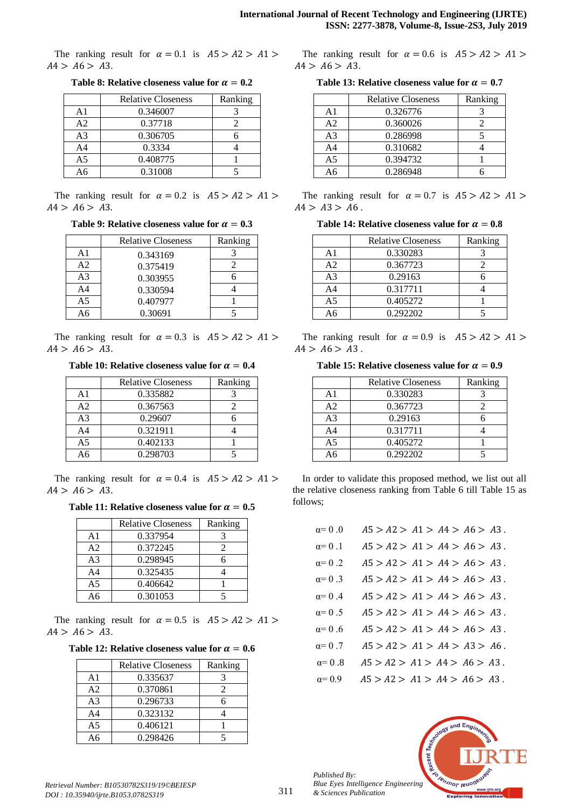The ranking result for  $\alpha = 0.1$  is  $A5 > A2 > A1 >$  $A4 > A6 > A3$ .

|                 | <b>Relative Closeness</b> | Ranking |
|-----------------|---------------------------|---------|
| A <sub>1</sub>  | 0.346007                  |         |
| A <sub>2</sub>  | 0.37718                   |         |
| A <sub>3</sub>  | 0.306705                  |         |
| A <sub>4</sub>  | 0.3334                    |         |
| A <sub>5</sub>  | 0.408775                  |         |
| $\overline{A}6$ | 0.31008                   |         |

**Table 8: Relative closeness value for**  $\alpha = 0.2$ 

The ranking result for  $\alpha = 0.2$  is  $A5 > A2 > A1 >$  $A4 > A6 > A3$ .

**Table 9: Relative closeness value for**  $\alpha = 0.3$ 

|                | <b>Relative Closeness</b> | Ranking |
|----------------|---------------------------|---------|
| A1             | 0.343169                  |         |
| A <sub>2</sub> | 0.375419                  |         |
| A <sub>3</sub> | 0.303955                  |         |
| A4             | 0.330594                  |         |
| A5             | 0.407977                  |         |
| Aб             | 0.30691                   |         |

The ranking result for  $\alpha = 0.3$  is  $A5 > A2 > A1 >$  $A4 > A6 > A3$ .

**Table 10: Relative closeness value for**  $\alpha = 0.4$ 

|                | <b>Relative Closeness</b> | Ranking |
|----------------|---------------------------|---------|
| A <sub>1</sub> | 0.335882                  |         |
| A <sub>2</sub> | 0.367563                  |         |
| A <sub>3</sub> | 0.29607                   |         |
| A <sub>4</sub> | 0.321911                  |         |
| A5             | 0.402133                  |         |
| Δб             | 0.298703                  |         |

The ranking result for  $\alpha = 0.4$  is  $A5 > A2 > A1 >$  $A4 > A6 > A3$ .

**Table 11: Relative closeness value for**  $\alpha = 0.5$ 

|                | <b>Relative Closeness</b> | Ranking |
|----------------|---------------------------|---------|
| A <sub>1</sub> | 0.337954                  |         |
| A <sub>2</sub> | 0.372245                  |         |
| A <sub>3</sub> | 0.298945                  |         |
| A <sub>4</sub> | 0.325435                  |         |
| A <sub>5</sub> | 0.406642                  |         |
|                | 0.301053                  |         |

The ranking result for  $\alpha = 0.5$  is  $A5 > A2 > A1 >$  $A4 > A6 > A3$ .

Table 12: Relative closeness value for  $\alpha = 0.6$ 

|                | <b>Relative Closeness</b> | Ranking |
|----------------|---------------------------|---------|
| A <sub>1</sub> | 0.335637                  |         |
| A <sub>2</sub> | 0.370861                  |         |
| A <sub>3</sub> | 0.296733                  |         |
| A4             | 0.323132                  |         |
| A <sub>5</sub> | 0.406121                  |         |
| <b>A6</b>      | 0.298426                  |         |

The ranking result for  $\alpha = 0.6$  is  $A5 > A2 > A1 >$  $A4 > A6 > A3$ .

**Table 13: Relative closeness value for**  $\alpha = 0.7$ 

|                | <b>Relative Closeness</b> | Ranking |
|----------------|---------------------------|---------|
| A <sub>1</sub> | 0.326776                  |         |
| A <sub>2</sub> | 0.360026                  |         |
| A <sub>3</sub> | 0.286998                  |         |
| A <sub>4</sub> | 0.310682                  |         |
| A <sub>5</sub> | 0.394732                  |         |
| 46             | 0.286948                  |         |

The ranking result for  $\alpha = 0.7$  is  $A5 > A2 > A1 >$  $A4 > A3 > A6$ .

Table 14: Relative closeness value for  $\alpha = 0.8$ 

|                | <b>Relative Closeness</b> | Ranking |
|----------------|---------------------------|---------|
| A1             | 0.330283                  |         |
| A <sub>2</sub> | 0.367723                  |         |
| A <sub>3</sub> | 0.29163                   |         |
| A <sub>4</sub> | 0.317711                  |         |
| A <sub>5</sub> | 0.405272                  |         |
| Aб             | 0.292202                  |         |

The ranking result for  $\alpha = 0.9$  is  $A5 > A2 > A1 >$  $A4 > A6 > A3$ .

Table 15: Relative closeness value for  $\alpha = 0.9$ 

|                | <b>Relative Closeness</b> | Ranking |
|----------------|---------------------------|---------|
| A <sub>1</sub> | 0.330283                  |         |
| A <sub>2</sub> | 0.367723                  |         |
| A <sub>3</sub> | 0.29163                   |         |
| A <sub>4</sub> | 0.317711                  |         |
| A <sub>5</sub> | 0.405272                  |         |
|                | 0.292202                  |         |

In order to validate this proposed method, we list out all the relative closeness ranking from Table 6 till Table 15 as follows;

| $\alpha=0.0$   | $A5 > A2 > A1 > A4 > A6 > A3$ . |
|----------------|---------------------------------|
| $\alpha=0.1$   | $A5 > A2 > A1 > A4 > A6 > A3$ . |
| $\alpha=0.2$   | $A5 > A2 > A1 > A4 > A6 > A3$ . |
| $\alpha=0.3$   | $A5 > A2 > A1 > A4 > A6 > A3$ . |
| $\alpha = 0.4$ | $A5 > A2 > A1 > A4 > A6 > A3$ . |
| $\alpha = 0.5$ | $A5 > A2 > A1 > A4 > A6 > A3$ . |
| $\alpha = 0.6$ | $A5 > A2 > A1 > A4 > A6 > A3$ . |
| $\alpha = 0.7$ | $A5 > A2 > A1 > A4 > A3 > A6$ . |
| $\alpha=0.8$   | $A5 > A2 > A1 > A4 > A6 > A3$ . |
| $\alpha = 0.9$ | $A5 > A2 > A1 > A4 > A6 > A3$ . |



*Published By:*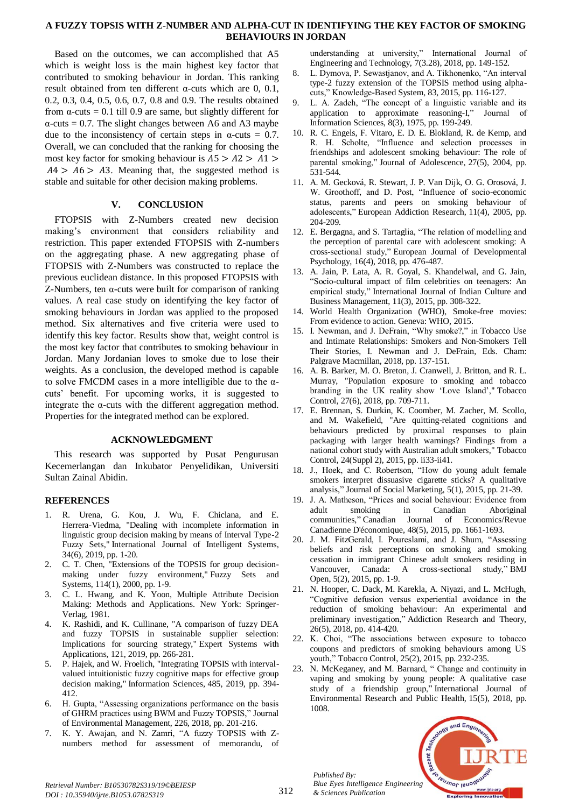# **A FUZZY TOPSIS WITH Z-NUMBER AND ALPHA-CUT IN IDENTIFYING THE KEY FACTOR OF SMOKING BEHAVIOURS IN JORDAN**

Based on the outcomes, we can accomplished that A5 which is weight loss is the main highest key factor that contributed to smoking behaviour in Jordan. This ranking result obtained from ten different α-cuts which are 0, 0.1, 0.2, 0.3, 0.4, 0.5, 0.6, 0.7, 0.8 and 0.9. The results obtained from  $\alpha$ -cuts = 0.1 till 0.9 are same, but slightly different for  $\alpha$ -cuts = 0.7. The slight changes between A6 and A3 maybe due to the inconsistency of certain steps in  $\alpha$ -cuts = 0.7. Overall, we can concluded that the ranking for choosing the most key factor for smoking behaviour is  $A5 > A2 > A1$  $A4 > A6 > A3$ . Meaning that, the suggested method is stable and suitable for other decision making problems.

# **V. CONCLUSION**

FTOPSIS with Z-Numbers created new decision making's environment that considers reliability and restriction. This paper extended FTOPSIS with Z-numbers on the aggregating phase. A new aggregating phase of FTOPSIS with Z-Numbers was constructed to replace the previous euclidean distance. In this proposed FTOPSIS with Z-Numbers, ten α-cuts were built for comparison of ranking values. A real case study on identifying the key factor of smoking behaviours in Jordan was applied to the proposed method. Six alternatives and five criteria were used to identify this key factor. Results show that, weight control is the most key factor that contributes to smoking behaviour in Jordan. Many Jordanian loves to smoke due to lose their weights. As a conclusion, the developed method is capable to solve FMCDM cases in a more intelligible due to the αcuts' benefit. For upcoming works, it is suggested to integrate the  $\alpha$ -cuts with the different aggregation method. Properties for the integrated method can be explored.

# **ACKNOWLEDGMENT**

This research was supported by Pusat Pengurusan Kecemerlangan dan Inkubator Penyelidikan, Universiti Sultan Zainal Abidin.

# **REFERENCES**

- 1. R. Urena, G. Kou, J. Wu, F. Chiclana, and E. Herrera‐Viedma, "Dealing with incomplete information in linguistic group decision making by means of Interval Type‐2 Fuzzy Sets," International Journal of Intelligent Systems, 34(6), 2019, pp. 1-20.
- 2. C. T. Chen, "Extensions of the TOPSIS for group decisionmaking under fuzzy environment," Fuzzy Sets and Systems, 114(1), 2000, pp. 1-9.
- 3. C. L. Hwang, and K. Yoon, Multiple Attribute Decision Making: Methods and Applications. New York: Springer-Verlag, 1981.
- 4. K. Rashidi, and K. Cullinane, "A comparison of fuzzy DEA and fuzzy TOPSIS in sustainable supplier selection: Implications for sourcing strategy," Expert Systems with Applications, 121, 2019, pp. 266-281.
- 5. P. Hajek, and W. Froelich, "Integrating TOPSIS with intervalvalued intuitionistic fuzzy cognitive maps for effective group decision making," Information Sciences, 485, 2019, pp. 394- 412.
- 6. H. Gupta, "Assessing organizations performance on the basis of GHRM practices using BWM and Fuzzy TOPSIS," Journal of Environmental Management, 226, 2018, pp. 201-216.
- 7. K. Y. Awajan, and N. Zamri, "A fuzzy TOPSIS with Znumbers method for assessment of memorandu, of

understanding at university," International Journal of Engineering and Technology, 7(3.28), 2018, pp. 149-152.

- 8. L. Dymova, P. Sewastjanov, and A. Tikhonenko, "An interval type-2 fuzzy extension of the TOPSIS method using alphacuts," Knowledge-Based System, 83, 2015, pp. 116-127.
- 9. L. A. Zadeh, "The concept of a linguistic variable and its application to approximate reasoning-I," Journal of Information Sciences, 8(3), 1975, pp. 199-249.
- 10. R. C. Engels, F. Vitaro, E. D. E. Blokland, R. de Kemp, and R. H. Scholte, "Influence and selection processes in friendships and adolescent smoking behaviour: The role of parental smoking," Journal of Adolescence, 27(5), 2004, pp. 531-544.
- 11. A. M. Gecková, R. Stewart, J. P. Van Dijk, O. G. Orosová, J. W. Groothoff, and D. Post, "Influence of socio-economic status, parents and peers on smoking behaviour of adolescents," European Addiction Research, 11(4), 2005, pp. 204-209.
- 12. E. Bergagna, and S. Tartaglia, "The relation of modelling and the perception of parental care with adolescent smoking: A cross-sectional study," European Journal of Developmental Psychology, 16(4), 2018, pp. 476-487.
- 13. A. Jain, P. Lata, A. R. Goyal, S. Khandelwal, and G. Jain, "Socio-cultural impact of film celebrities on teenagers: An empirical study," International Journal of Indian Culture and Business Management, 11(3), 2015, pp. 308-322.
- 14. World Health Organization (WHO), Smoke-free movies: From evidence to action. Geneva: WHO, 2015.
- 15. I. Newman, and J. DeFrain, "Why smoke?," in Tobacco Use and Intimate Relationships: Smokers and Non-Smokers Tell Their Stories, I. Newman and J. DeFrain, Eds. Cham: Palgrave Macmillan, 2018, pp. 137-151.
- 16. A. B. Barker, M. O. Breton, J. Cranwell, J. Britton, and R. L. Murray, "Population exposure to smoking and tobacco branding in the UK reality show 'Love Island'," Tobacco Control, 27(6), 2018, pp. 709-711.
- 17. E. Brennan, S. Durkin, K. Coomber, M. Zacher, M. Scollo, and M. Wakefield, "Are quitting-related cognitions and behaviours predicted by proximal responses to plain packaging with larger health warnings? Findings from a national cohort study with Australian adult smokers," Tobacco Control, 24(Suppl 2), 2015, pp. ii33-ii41.
- 18. J., Hoek, and C. Robertson, "How do young adult female smokers interpret dissuasive cigarette sticks? A qualitative analysis," Journal of Social Marketing, 5(1), 2015, pp. 21-39.
- 19. J. A. Matheson, "Prices and social behaviour: Evidence from adult smoking in Canadian Aboriginal communities," Canadian Journal of Economics/Revue Canadienne D'économique, 48(5), 2015, pp. 1661-1693.
- 20. J. M. FitzGerald, I. Poureslami, and J. Shum, "Assessing beliefs and risk perceptions on smoking and smoking cessation in immigrant Chinese adult smokers residing in Vancouver, Canada: A cross-sectional study," BMJ Open, 5(2), 2015, pp. 1-9.
- 21. N. Hooper, C. Dack, M. Karekla, A. Niyazi, and L. McHugh, "Cognitive defusion versus experiential avoidance in the reduction of smoking behaviour: An experimental and preliminary investigation," Addiction Research and Theory, 26(5), 2018, pp. 414-420.
- 22. K. Choi, "The associations between exposure to tobacco coupons and predictors of smoking behaviours among US youth," Tobacco Control, 25(2), 2015, pp. 232-235.
- 23. N. McKeganey, and M. Barnard, " Change and continuity in vaping and smoking by young people: A qualitative case study of a friendship group," International Journal of Environmental Research and Public Health, 15(5), 2018, pp. 1008.



*Retrieval Number: B10530782S319/19©BEIESP DOI : 10.35940/ijrte.B1053.0782S319*

*Published By:*